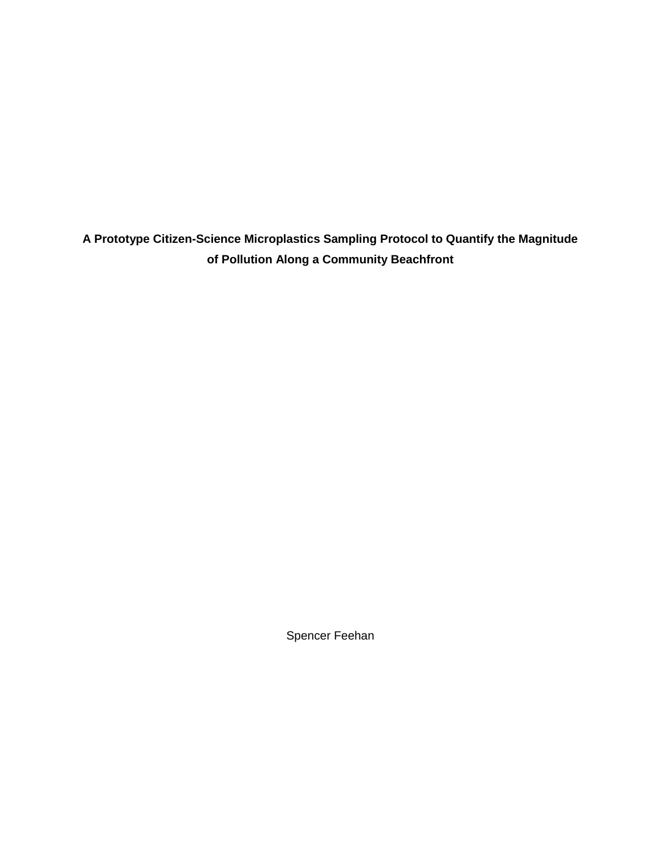**A Prototype Citizen-Science Microplastics Sampling Protocol to Quantify the Magnitude of Pollution Along a Community Beachfront**

Spencer Feehan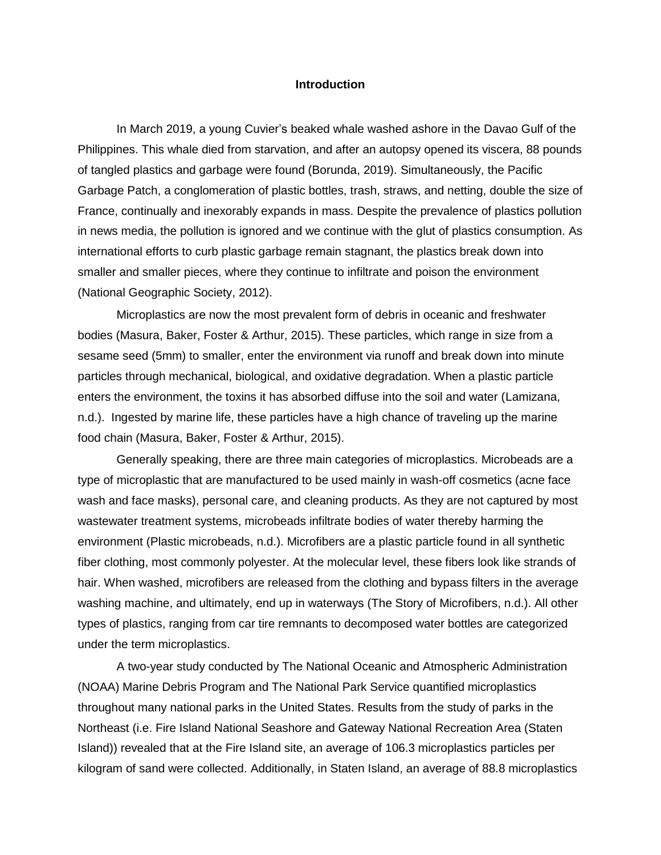#### **Introduction**

In March 2019, a young Cuvier's beaked whale washed ashore in the Davao Gulf of the Philippines. This whale died from starvation, and after an autopsy opened its viscera, 88 pounds of tangled plastics and garbage were found (Borunda, 2019). Simultaneously, the Pacific Garbage Patch, a conglomeration of plastic bottles, trash, straws, and netting, double the size of France, continually and inexorably expands in mass. Despite the prevalence of plastics pollution in news media, the pollution is ignored and we continue with the glut of plastics consumption. As international efforts to curb plastic garbage remain stagnant, the plastics break down into smaller and smaller pieces, where they continue to infiltrate and poison the environment (National Geographic Society, 2012).

Microplastics are now the most prevalent form of debris in oceanic and freshwater bodies (Masura, Baker, Foster & Arthur, 2015). These particles, which range in size from a sesame seed (5mm) to smaller, enter the environment via runoff and break down into minute particles through mechanical, biological, and oxidative degradation. When a plastic particle enters the environment, the toxins it has absorbed diffuse into the soil and water (Lamizana, n.d.). Ingested by marine life, these particles have a high chance of traveling up the marine food chain (Masura, Baker, Foster & Arthur, 2015).

Generally speaking, there are three main categories of microplastics. Microbeads are a type of microplastic that are manufactured to be used mainly in wash-off cosmetics (acne face wash and face masks), personal care, and cleaning products. As they are not captured by most wastewater treatment systems, microbeads infiltrate bodies of water thereby harming the environment (Plastic microbeads, n.d.). Microfibers are a plastic particle found in all synthetic fiber clothing, most commonly polyester. At the molecular level, these fibers look like strands of hair. When washed, microfibers are released from the clothing and bypass filters in the average washing machine, and ultimately, end up in waterways (The Story of Microfibers, n.d.). All other types of plastics, ranging from car tire remnants to decomposed water bottles are categorized under the term microplastics.

A two-year study conducted by The National Oceanic and Atmospheric Administration (NOAA) Marine Debris Program and The National Park Service quantified microplastics throughout many national parks in the United States. Results from the study of parks in the Northeast (i.e. Fire Island National Seashore and Gateway National Recreation Area (Staten Island)) revealed that at the Fire Island site, an average of 106.3 microplastics particles per kilogram of sand were collected. Additionally, in Staten Island, an average of 88.8 microplastics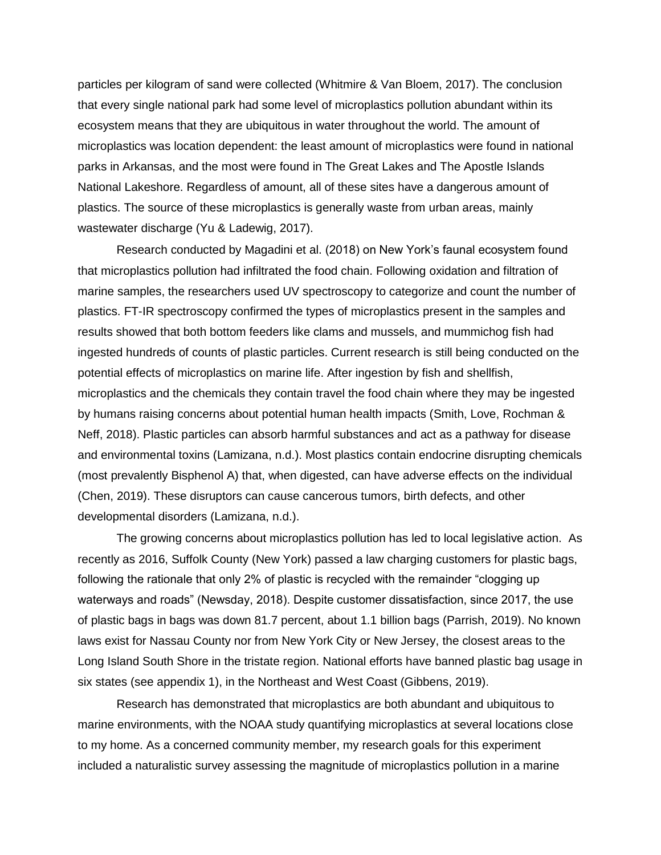particles per kilogram of sand were collected (Whitmire & Van Bloem, 2017). The conclusion that every single national park had some level of microplastics pollution abundant within its ecosystem means that they are ubiquitous in water throughout the world. The amount of microplastics was location dependent: the least amount of microplastics were found in national parks in Arkansas, and the most were found in The Great Lakes and The Apostle Islands National Lakeshore. Regardless of amount, all of these sites have a dangerous amount of plastics. The source of these microplastics is generally waste from urban areas, mainly wastewater discharge (Yu & Ladewig, 2017).

Research conducted by Magadini et al. (2018) on New York's faunal ecosystem found that microplastics pollution had infiltrated the food chain. Following oxidation and filtration of marine samples, the researchers used UV spectroscopy to categorize and count the number of plastics. FT-IR spectroscopy confirmed the types of microplastics present in the samples and results showed that both bottom feeders like clams and mussels, and mummichog fish had ingested hundreds of counts of plastic particles. Current research is still being conducted on the potential effects of microplastics on marine life. After ingestion by fish and shellfish, microplastics and the chemicals they contain travel the food chain where they may be ingested by humans raising concerns about potential human health impacts (Smith, Love, Rochman & Neff, 2018). Plastic particles can absorb harmful substances and act as a pathway for disease and environmental toxins (Lamizana, n.d.). Most plastics contain endocrine disrupting chemicals (most prevalently Bisphenol A) that, when digested, can have adverse effects on the individual (Chen, 2019). These disruptors can cause cancerous tumors, birth defects, and other developmental disorders (Lamizana, n.d.).

The growing concerns about microplastics pollution has led to local legislative action. As recently as 2016, Suffolk County (New York) passed a law charging customers for plastic bags, following the rationale that only 2% of plastic is recycled with the remainder "clogging up waterways and roads" (Newsday, 2018). Despite customer dissatisfaction, since 2017, the use of plastic bags in bags was down 81.7 percent, about 1.1 billion bags (Parrish, 2019). No known laws exist for Nassau County nor from New York City or New Jersey, the closest areas to the Long Island South Shore in the tristate region. National efforts have banned plastic bag usage in six states (see appendix 1), in the Northeast and West Coast (Gibbens, 2019).

Research has demonstrated that microplastics are both abundant and ubiquitous to marine environments, with the NOAA study quantifying microplastics at several locations close to my home. As a concerned community member, my research goals for this experiment included a naturalistic survey assessing the magnitude of microplastics pollution in a marine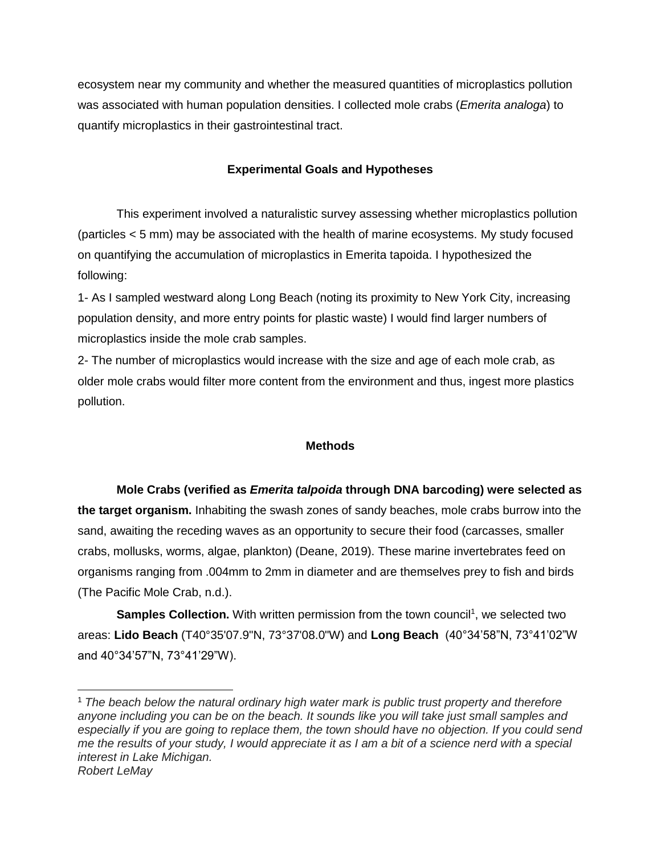ecosystem near my community and whether the measured quantities of microplastics pollution was associated with human population densities. I collected mole crabs (*Emerita analoga*) to quantify microplastics in their gastrointestinal tract.

# **Experimental Goals and Hypotheses**

This experiment involved a naturalistic survey assessing whether microplastics pollution (particles < 5 mm) may be associated with the health of marine ecosystems. My study focused on quantifying the accumulation of microplastics in Emerita tapoida. I hypothesized the following:

1- As I sampled westward along Long Beach (noting its proximity to New York City, increasing population density, and more entry points for plastic waste) I would find larger numbers of microplastics inside the mole crab samples.

2- The number of microplastics would increase with the size and age of each mole crab, as older mole crabs would filter more content from the environment and thus, ingest more plastics pollution.

### **Methods**

**Mole Crabs (verified as** *Emerita talpoida* **through DNA barcoding) were selected as the target organism.** Inhabiting the swash zones of sandy beaches, mole crabs burrow into the sand, awaiting the receding waves as an opportunity to secure their food (carcasses, smaller crabs, mollusks, worms, algae, plankton) (Deane, 2019). These marine invertebrates feed on organisms ranging from .004mm to 2mm in diameter and are themselves prey to fish and birds (The Pacific Mole Crab, n.d.).

**Samples Collection.** With written permission from the town council<sup>1</sup>, we selected two areas: **Lido Beach** (T40°35'07.9"N, 73°37'08.0"W) and **Long Beach** (40°34'58"N, 73°41'02"W and 40°34'57"N, 73°41'29"W).

<sup>1</sup> *The beach below the natural ordinary high water mark is public trust property and therefore anyone including you can be on the beach. It sounds like you will take just small samples and*  especially if you are going to replace them, the town should have no objection. If you could send *me the results of your study, I would appreciate it as I am a bit of a science nerd with a special interest in Lake Michigan. Robert LeMay*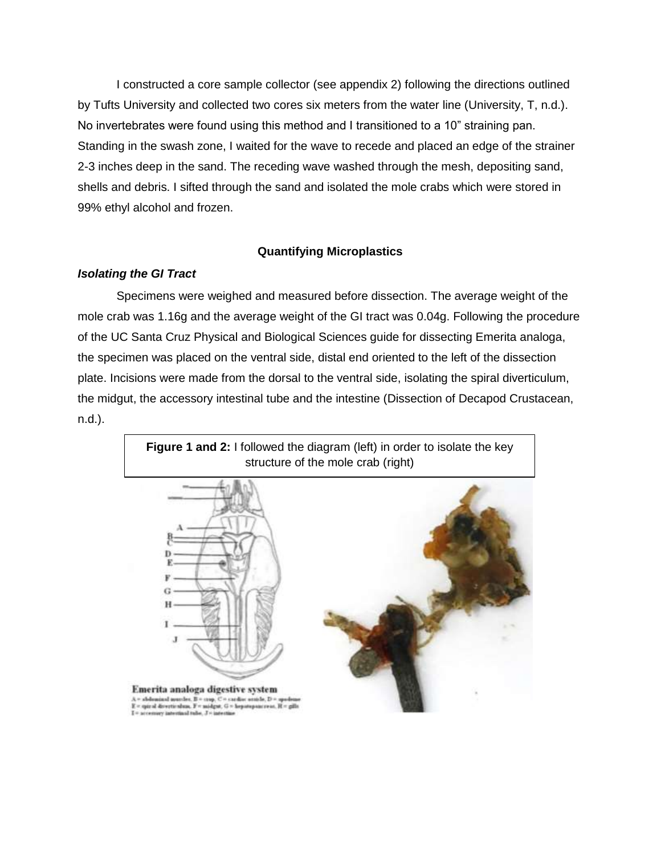I constructed a core sample collector (see appendix 2) following the directions outlined by Tufts University and collected two cores six meters from the water line (University, T, n.d.). No invertebrates were found using this method and I transitioned to a 10" straining pan. Standing in the swash zone, I waited for the wave to recede and placed an edge of the strainer 2-3 inches deep in the sand. The receding wave washed through the mesh, depositing sand, shells and debris. I sifted through the sand and isolated the mole crabs which were stored in 99% ethyl alcohol and frozen.

## **Quantifying Microplastics**

### *Isolating the GI Tract*

Specimens were weighed and measured before dissection. The average weight of the mole crab was 1.16g and the average weight of the GI tract was 0.04g. Following the procedure of the UC Santa Cruz Physical and Biological Sciences guide for dissecting Emerita analoga, the specimen was placed on the ventral side, distal end oriented to the left of the dissection plate. Incisions were made from the dorsal to the ventral side, isolating the spiral diverticulum, the midgut, the accessory intestinal tube and the intestine (Dissection of Decapod Crustacean, n.d.).

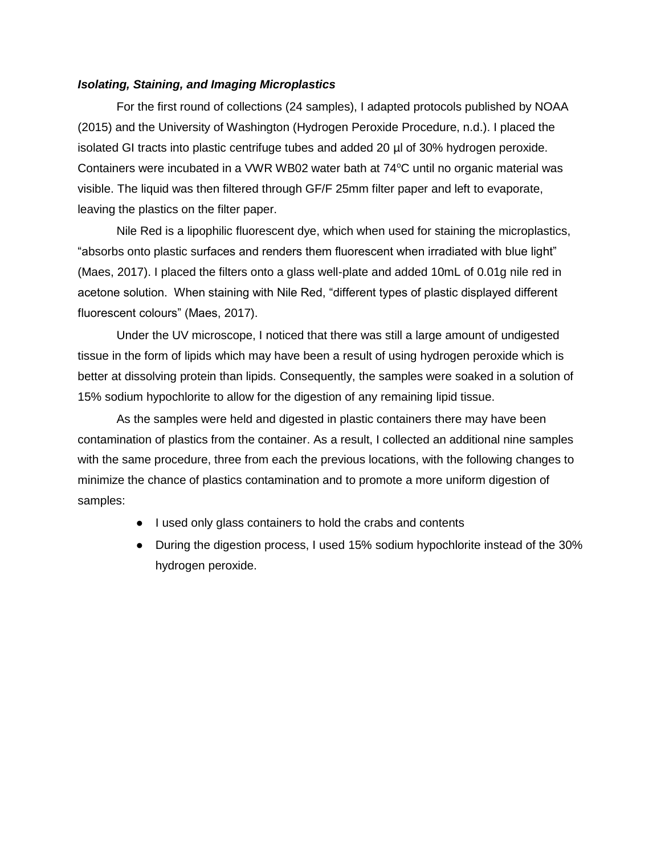### *Isolating, Staining, and Imaging Microplastics*

For the first round of collections (24 samples), I adapted protocols published by NOAA (2015) and the University of Washington (Hydrogen Peroxide Procedure, n.d.). I placed the isolated GI tracts into plastic centrifuge tubes and added 20 µl of 30% hydrogen peroxide. Containers were incubated in a VWR WB02 water bath at  $74^{\circ}$ C until no organic material was visible. The liquid was then filtered through GF/F 25mm filter paper and left to evaporate, leaving the plastics on the filter paper.

Nile Red is a lipophilic fluorescent dye, which when used for staining the microplastics, "absorbs onto plastic surfaces and renders them fluorescent when irradiated with blue light" (Maes, 2017). I placed the filters onto a glass well-plate and added 10mL of 0.01g nile red in acetone solution. When staining with Nile Red, "different types of plastic displayed different fluorescent colours" (Maes, 2017).

Under the UV microscope, I noticed that there was still a large amount of undigested tissue in the form of lipids which may have been a result of using hydrogen peroxide which is better at dissolving protein than lipids. Consequently, the samples were soaked in a solution of 15% sodium hypochlorite to allow for the digestion of any remaining lipid tissue.

As the samples were held and digested in plastic containers there may have been contamination of plastics from the container. As a result, I collected an additional nine samples with the same procedure, three from each the previous locations, with the following changes to minimize the chance of plastics contamination and to promote a more uniform digestion of samples:

- I used only glass containers to hold the crabs and contents
- During the digestion process, I used 15% sodium hypochlorite instead of the 30% hydrogen peroxide.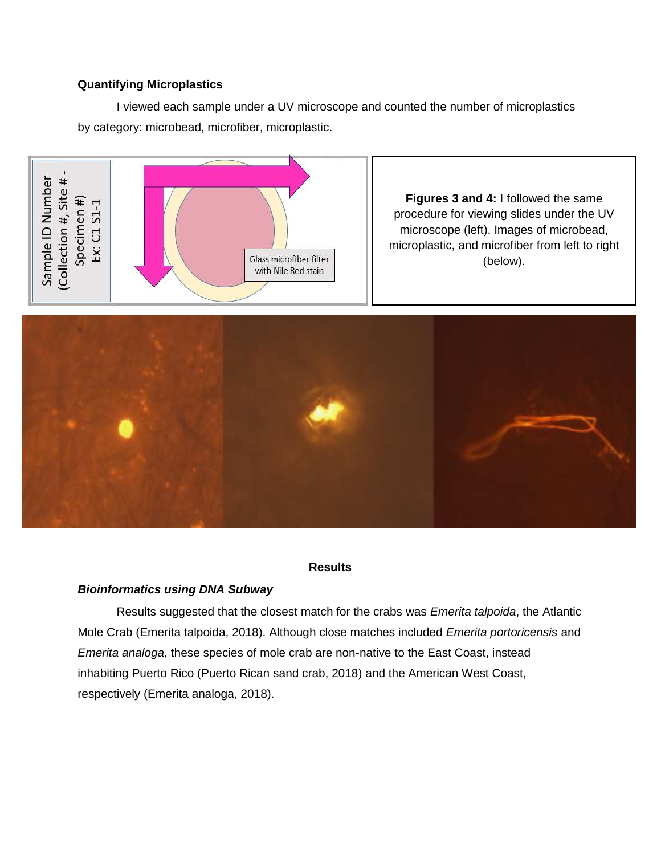# **Quantifying Microplastics**

I viewed each sample under a UV microscope and counted the number of microplastics by category: microbead, microfiber, microplastic.



**Figures 3 and 4:** I followed the same procedure for viewing slides under the UV microscope (left). Images of microbead, microplastic, and microfiber from left to right (below).



### **Results**

# *Bioinformatics using DNA Subway*

Results suggested that the closest match for the crabs was *Emerita talpoida*, the Atlantic Mole Crab (Emerita talpoida, 2018). Although close matches included *Emerita portoricensis* and *Emerita analoga*, these species of mole crab are non-native to the East Coast, instead inhabiting Puerto Rico (Puerto Rican sand crab, 2018) and the American West Coast, respectively (Emerita analoga, 2018).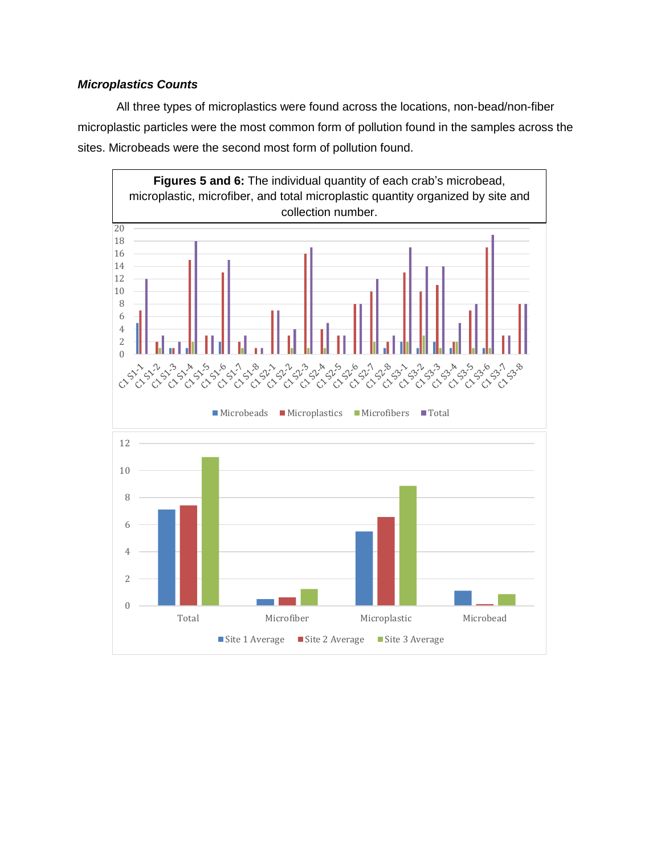# *Microplastics Counts*

All three types of microplastics were found across the locations, non-bead/non-fiber microplastic particles were the most common form of pollution found in the samples across the sites. Microbeads were the second most form of pollution found.

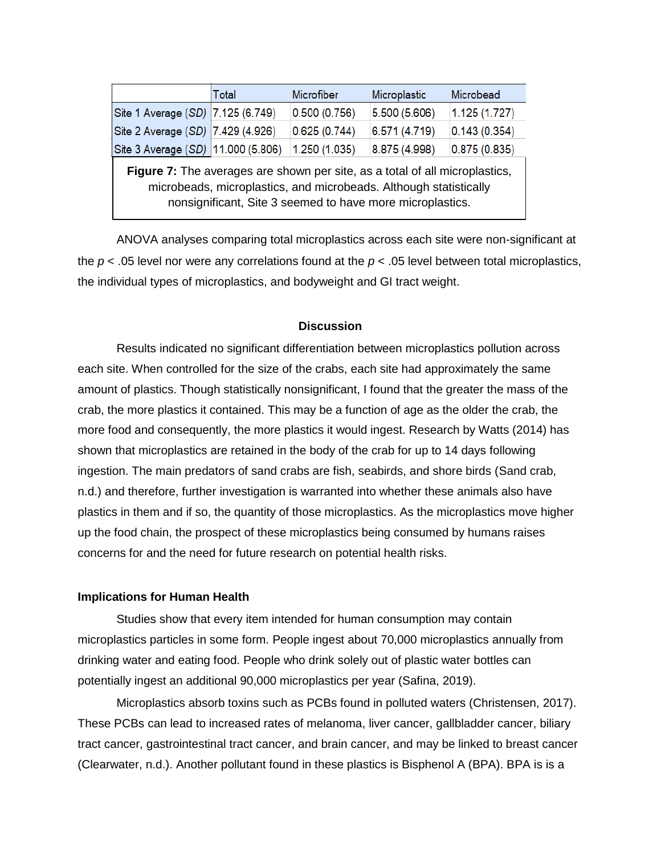|                                                                                                                                                                                                               | Total | Microfiber   | Microplastic  | Microbead    |
|---------------------------------------------------------------------------------------------------------------------------------------------------------------------------------------------------------------|-------|--------------|---------------|--------------|
| Site 1 Average (SD) 7.125 (6.749)                                                                                                                                                                             |       | 0.500(0.756) | 5.500 (5.606) | 1.125(1.727) |
| Site 2 Average (SD) 7.429 (4.926)                                                                                                                                                                             |       | 0.625(0.744) | 6.571 (4.719) | 0.143(0.354) |
| Site 3 Average (SD) 11.000 (5.806)                                                                                                                                                                            |       | 1.250(1.035) | 8.875 (4.998) | 0.875(0.835) |
| Figure 7: The averages are shown per site, as a total of all microplastics,<br>microbeads, microplastics, and microbeads. Although statistically<br>nonsignificant, Site 3 seemed to have more microplastics. |       |              |               |              |

ANOVA analyses comparing total microplastics across each site were non-significant at the *p* < .05 level nor were any correlations found at the *p* < .05 level between total microplastics, the individual types of microplastics, and bodyweight and GI tract weight.

#### **Discussion**

Results indicated no significant differentiation between microplastics pollution across each site. When controlled for the size of the crabs, each site had approximately the same amount of plastics. Though statistically nonsignificant, I found that the greater the mass of the crab, the more plastics it contained. This may be a function of age as the older the crab, the more food and consequently, the more plastics it would ingest. Research by Watts (2014) has shown that microplastics are retained in the body of the crab for up to 14 days following ingestion. The main predators of sand crabs are fish, seabirds, and shore birds (Sand crab, n.d.) and therefore, further investigation is warranted into whether these animals also have plastics in them and if so, the quantity of those microplastics. As the microplastics move higher up the food chain, the prospect of these microplastics being consumed by humans raises concerns for and the need for future research on potential health risks.

#### **Implications for Human Health**

Studies show that every item intended for human consumption may contain microplastics particles in some form. People ingest about 70,000 microplastics annually from drinking water and eating food. People who drink solely out of plastic water bottles can potentially ingest an additional 90,000 microplastics per year (Safina, 2019).

Microplastics absorb toxins such as PCBs found in polluted waters (Christensen, 2017). These PCBs can lead to increased rates of melanoma, liver cancer, gallbladder cancer, biliary tract cancer, gastrointestinal tract cancer, and brain cancer, and may be linked to breast cancer (Clearwater, n.d.). Another pollutant found in these plastics is Bisphenol A (BPA). BPA is is a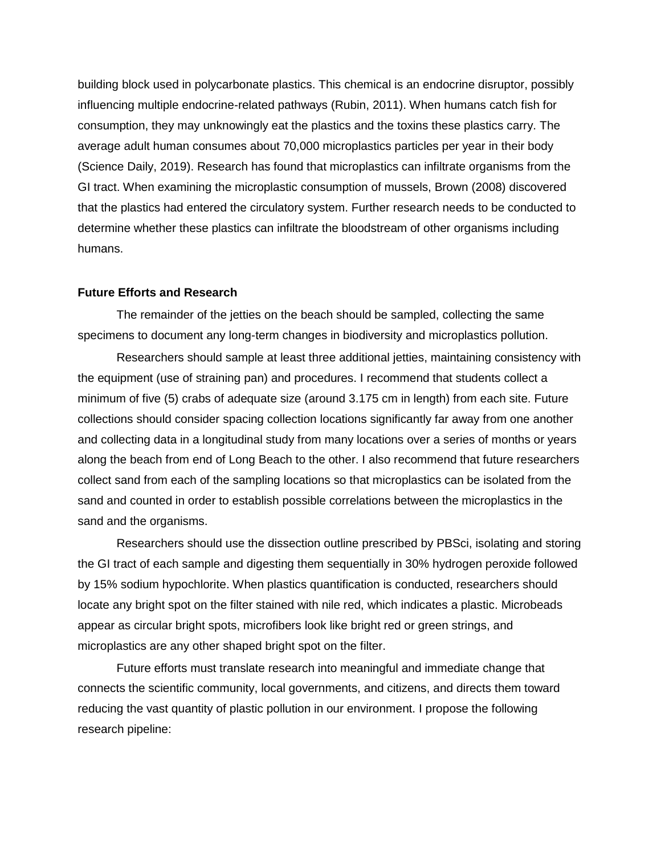building block used in polycarbonate plastics. This chemical is an endocrine disruptor, possibly influencing multiple endocrine-related pathways (Rubin, 2011). When humans catch fish for consumption, they may unknowingly eat the plastics and the toxins these plastics carry. The average adult human consumes about 70,000 microplastics particles per year in their body (Science Daily, 2019). Research has found that microplastics can infiltrate organisms from the GI tract. When examining the microplastic consumption of mussels, Brown (2008) discovered that the plastics had entered the circulatory system. Further research needs to be conducted to determine whether these plastics can infiltrate the bloodstream of other organisms including humans.

#### **Future Efforts and Research**

The remainder of the jetties on the beach should be sampled, collecting the same specimens to document any long-term changes in biodiversity and microplastics pollution.

Researchers should sample at least three additional jetties, maintaining consistency with the equipment (use of straining pan) and procedures. I recommend that students collect a minimum of five (5) crabs of adequate size (around 3.175 cm in length) from each site. Future collections should consider spacing collection locations significantly far away from one another and collecting data in a longitudinal study from many locations over a series of months or years along the beach from end of Long Beach to the other. I also recommend that future researchers collect sand from each of the sampling locations so that microplastics can be isolated from the sand and counted in order to establish possible correlations between the microplastics in the sand and the organisms.

Researchers should use the dissection outline prescribed by PBSci, isolating and storing the GI tract of each sample and digesting them sequentially in 30% hydrogen peroxide followed by 15% sodium hypochlorite. When plastics quantification is conducted, researchers should locate any bright spot on the filter stained with nile red, which indicates a plastic. Microbeads appear as circular bright spots, microfibers look like bright red or green strings, and microplastics are any other shaped bright spot on the filter.

Future efforts must translate research into meaningful and immediate change that connects the scientific community, local governments, and citizens, and directs them toward reducing the vast quantity of plastic pollution in our environment. I propose the following research pipeline: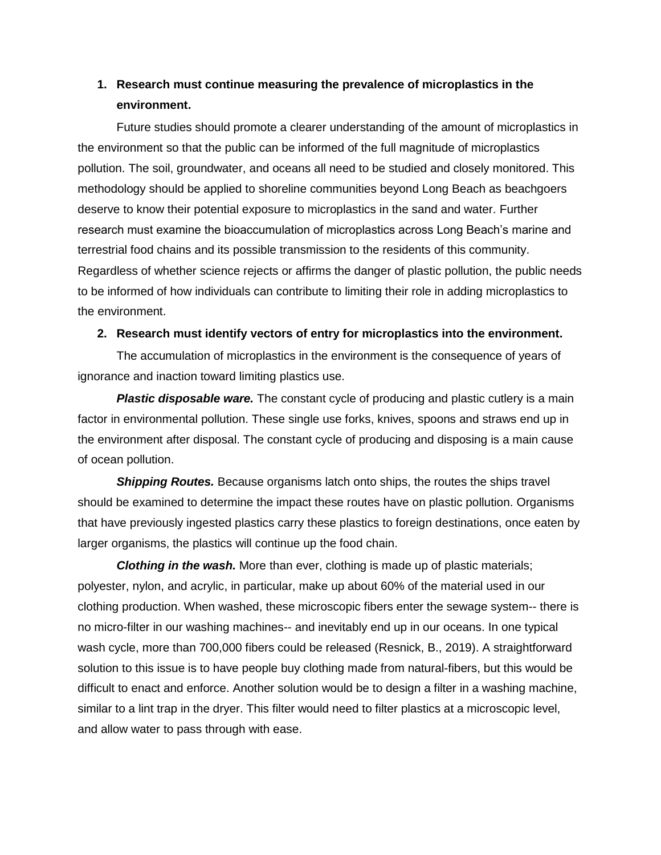# **1. Research must continue measuring the prevalence of microplastics in the environment.**

Future studies should promote a clearer understanding of the amount of microplastics in the environment so that the public can be informed of the full magnitude of microplastics pollution. The soil, groundwater, and oceans all need to be studied and closely monitored. This methodology should be applied to shoreline communities beyond Long Beach as beachgoers deserve to know their potential exposure to microplastics in the sand and water. Further research must examine the bioaccumulation of microplastics across Long Beach's marine and terrestrial food chains and its possible transmission to the residents of this community. Regardless of whether science rejects or affirms the danger of plastic pollution, the public needs to be informed of how individuals can contribute to limiting their role in adding microplastics to the environment.

# **2. Research must identify vectors of entry for microplastics into the environment.**

The accumulation of microplastics in the environment is the consequence of years of ignorance and inaction toward limiting plastics use.

**Plastic disposable ware.** The constant cycle of producing and plastic cutlery is a main factor in environmental pollution. These single use forks, knives, spoons and straws end up in the environment after disposal. The constant cycle of producing and disposing is a main cause of ocean pollution.

**Shipping Routes.** Because organisms latch onto ships, the routes the ships travel should be examined to determine the impact these routes have on plastic pollution. Organisms that have previously ingested plastics carry these plastics to foreign destinations, once eaten by larger organisms, the plastics will continue up the food chain.

*Clothing in the wash.* More than ever, clothing is made up of plastic materials; polyester, nylon, and acrylic, in particular, make up about 60% of the material used in our clothing production. When washed, these microscopic fibers enter the sewage system-- there is no micro-filter in our washing machines-- and inevitably end up in our oceans. In one typical wash cycle, more than 700,000 fibers could be released (Resnick, B., 2019). A straightforward solution to this issue is to have people buy clothing made from natural-fibers, but this would be difficult to enact and enforce. Another solution would be to design a filter in a washing machine, similar to a lint trap in the dryer. This filter would need to filter plastics at a microscopic level, and allow water to pass through with ease.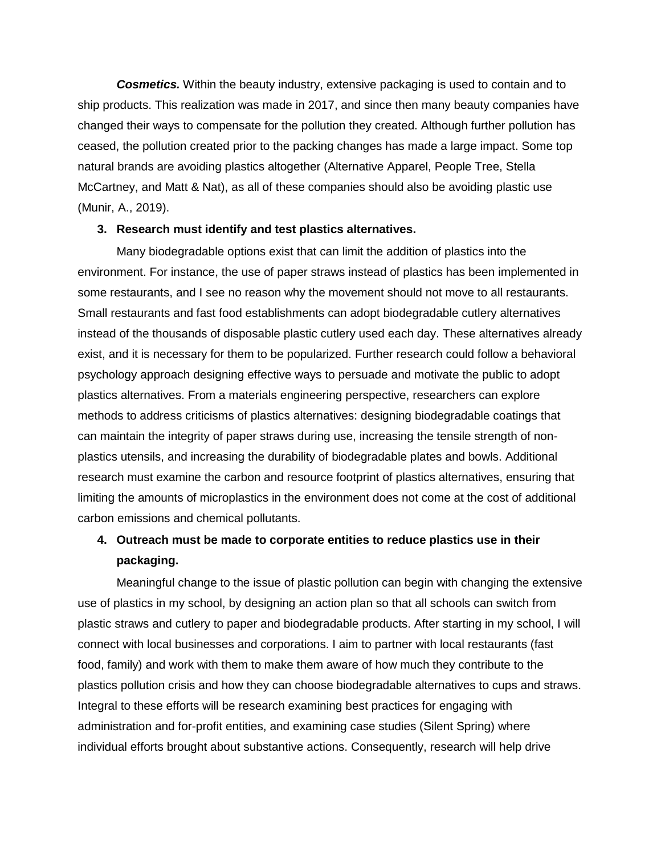*Cosmetics.* Within the beauty industry, extensive packaging is used to contain and to ship products. This realization was made in 2017, and since then many beauty companies have changed their ways to compensate for the pollution they created. Although further pollution has ceased, the pollution created prior to the packing changes has made a large impact. Some top natural brands are avoiding plastics altogether (Alternative Apparel, People Tree, Stella McCartney, and Matt & Nat), as all of these companies should also be avoiding plastic use (Munir, A., 2019).

#### **3. Research must identify and test plastics alternatives.**

Many biodegradable options exist that can limit the addition of plastics into the environment. For instance, the use of paper straws instead of plastics has been implemented in some restaurants, and I see no reason why the movement should not move to all restaurants. Small restaurants and fast food establishments can adopt biodegradable cutlery alternatives instead of the thousands of disposable plastic cutlery used each day. These alternatives already exist, and it is necessary for them to be popularized. Further research could follow a behavioral psychology approach designing effective ways to persuade and motivate the public to adopt plastics alternatives. From a materials engineering perspective, researchers can explore methods to address criticisms of plastics alternatives: designing biodegradable coatings that can maintain the integrity of paper straws during use, increasing the tensile strength of nonplastics utensils, and increasing the durability of biodegradable plates and bowls. Additional research must examine the carbon and resource footprint of plastics alternatives, ensuring that limiting the amounts of microplastics in the environment does not come at the cost of additional carbon emissions and chemical pollutants.

# **4. Outreach must be made to corporate entities to reduce plastics use in their packaging.**

Meaningful change to the issue of plastic pollution can begin with changing the extensive use of plastics in my school, by designing an action plan so that all schools can switch from plastic straws and cutlery to paper and biodegradable products. After starting in my school, I will connect with local businesses and corporations. I aim to partner with local restaurants (fast food, family) and work with them to make them aware of how much they contribute to the plastics pollution crisis and how they can choose biodegradable alternatives to cups and straws. Integral to these efforts will be research examining best practices for engaging with administration and for-profit entities, and examining case studies (Silent Spring) where individual efforts brought about substantive actions. Consequently, research will help drive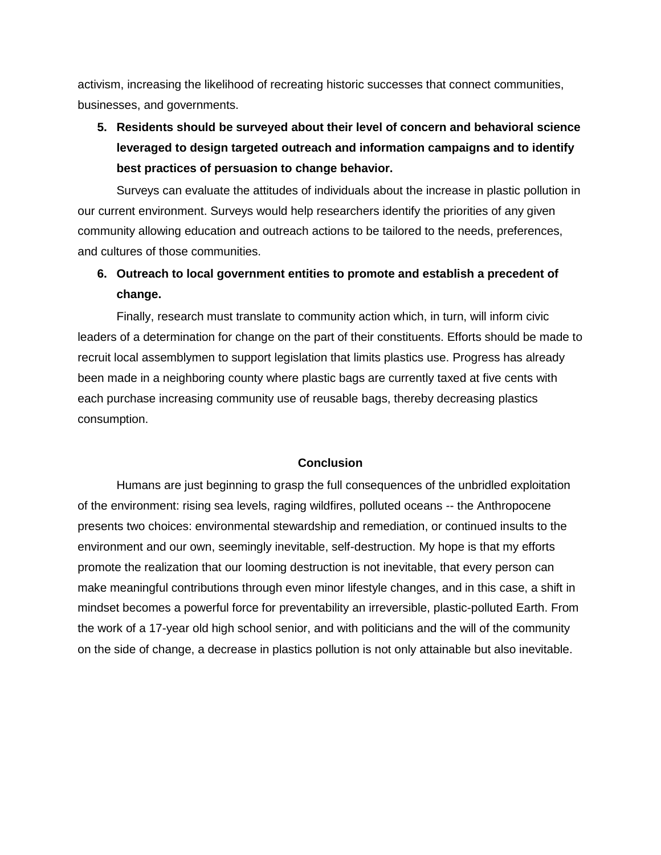activism, increasing the likelihood of recreating historic successes that connect communities, businesses, and governments.

# **5. Residents should be surveyed about their level of concern and behavioral science leveraged to design targeted outreach and information campaigns and to identify best practices of persuasion to change behavior.**

Surveys can evaluate the attitudes of individuals about the increase in plastic pollution in our current environment. Surveys would help researchers identify the priorities of any given community allowing education and outreach actions to be tailored to the needs, preferences, and cultures of those communities.

# **6. Outreach to local government entities to promote and establish a precedent of change.**

Finally, research must translate to community action which, in turn, will inform civic leaders of a determination for change on the part of their constituents. Efforts should be made to recruit local assemblymen to support legislation that limits plastics use. Progress has already been made in a neighboring county where plastic bags are currently taxed at five cents with each purchase increasing community use of reusable bags, thereby decreasing plastics consumption.

## **Conclusion**

Humans are just beginning to grasp the full consequences of the unbridled exploitation of the environment: rising sea levels, raging wildfires, polluted oceans -- the Anthropocene presents two choices: environmental stewardship and remediation, or continued insults to the environment and our own, seemingly inevitable, self-destruction. My hope is that my efforts promote the realization that our looming destruction is not inevitable, that every person can make meaningful contributions through even minor lifestyle changes, and in this case, a shift in mindset becomes a powerful force for preventability an irreversible, plastic-polluted Earth. From the work of a 17-year old high school senior, and with politicians and the will of the community on the side of change, a decrease in plastics pollution is not only attainable but also inevitable.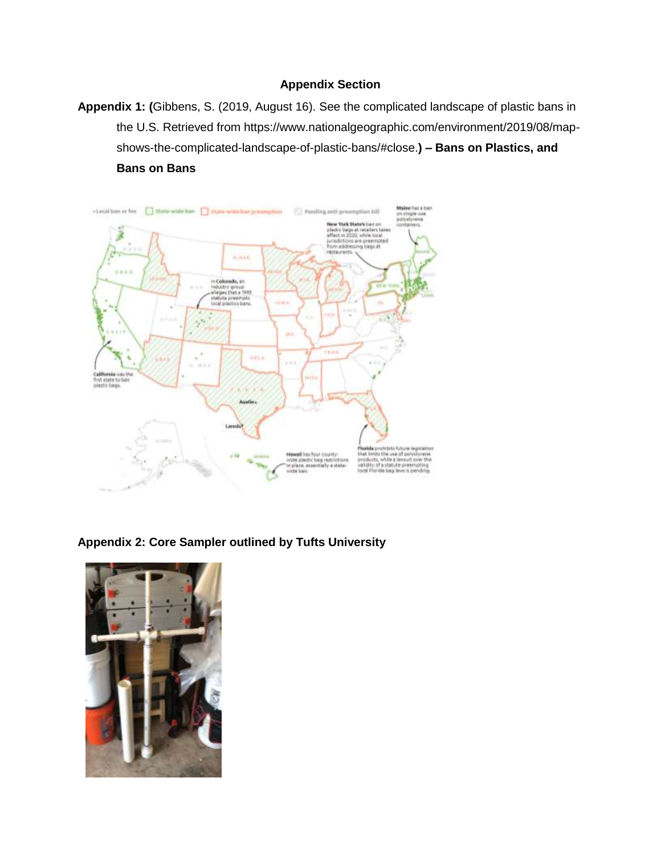## **Appendix Section**

**Appendix 1: (**Gibbens, S. (2019, August 16). See the complicated landscape of plastic bans in the U.S. Retrieved from [https://www.nationalgeographic.com/environment/2019/08/map](https://www.nationalgeographic.com/environment/2019/08/map-shows-the-complicated-landscape-of-plastic-bans/#close)[shows-the-complicated-landscape-of-plastic-bans/#close.](https://www.nationalgeographic.com/environment/2019/08/map-shows-the-complicated-landscape-of-plastic-bans/#close)**) – Bans on Plastics, and Bans on Bans**



**Appendix 2: Core Sampler outlined by Tufts University**

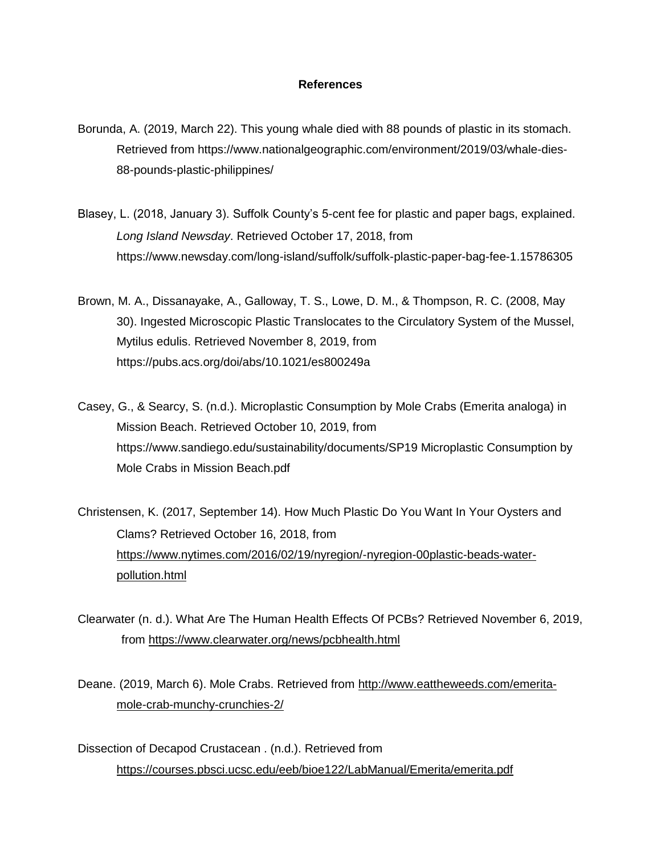## **References**

- Borunda, A. (2019, March 22). This young whale died with 88 pounds of plastic in its stomach. Retrieved from https://www.nationalgeographic.com/environment/2019/03/whale-dies-88-pounds-plastic-philippines/
- Blasey, L. (2018, January 3). Suffolk County's 5-cent fee for plastic and paper bags, explained. *Long Island Newsday*. Retrieved October 17, 2018, from https://www.newsday.com/long-island/suffolk/suffolk-plastic-paper-bag-fee-1.15786305
- Brown, M. A., Dissanayake, A., Galloway, T. S., Lowe, D. M., & Thompson, R. C. (2008, May 30). Ingested Microscopic Plastic Translocates to the Circulatory System of the Mussel, Mytilus edulis. Retrieved November 8, 2019, from https://pubs.acs.org/doi/abs/10.1021/es800249a
- Casey, G., & Searcy, S. (n.d.). Microplastic Consumption by Mole Crabs (Emerita analoga) in Mission Beach. Retrieved October 10, 2019, from https://www.sandiego.edu/sustainability/documents/SP19 Microplastic Consumption by Mole Crabs in Mission Beach.pdf

Christensen, K. (2017, September 14). How Much Plastic Do You Want In Your Oysters and Clams? Retrieved October 16, 2018, from [https://www.nytimes.com/2016/02/19/nyregion/-nyregion-00plastic-beads-water](https://www.nytimes.com/2016/02/19/nyregion/-nyregion-00plastic-beads-water-pollution.html)[pollution.html](https://www.nytimes.com/2016/02/19/nyregion/-nyregion-00plastic-beads-water-pollution.html)

Clearwater (n. d.). What Are The Human Health Effects Of PCBs? Retrieved November 6, 2019, from<https://www.clearwater.org/news/pcbhealth.html>

Deane. (2019, March 6). Mole Crabs. Retrieved from [http://www.eattheweeds.com/emerita](http://www.eattheweeds.com/emerita-mole-crab-munchy-crunchies-2/)[mole-crab-munchy-crunchies-2/](http://www.eattheweeds.com/emerita-mole-crab-munchy-crunchies-2/)

Dissection of Decapod Crustacean . (n.d.). Retrieved from <https://courses.pbsci.ucsc.edu/eeb/bioe122/LabManual/Emerita/emerita.pdf>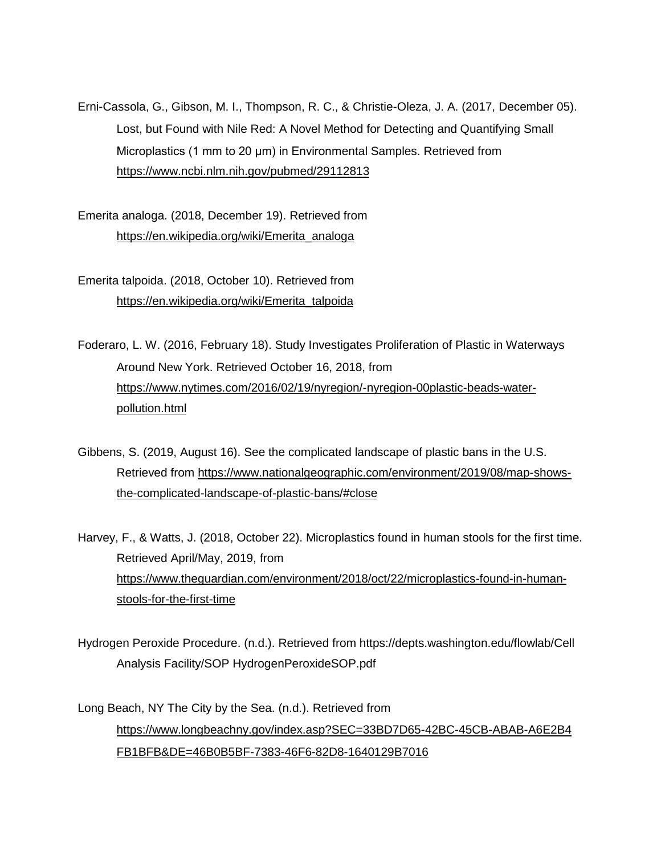Erni-Cassola, G., Gibson, M. I., Thompson, R. C., & Christie-Oleza, J. A. (2017, December 05). Lost, but Found with Nile Red: A Novel Method for Detecting and Quantifying Small Microplastics (1 mm to 20 μm) in Environmental Samples. Retrieved from <https://www.ncbi.nlm.nih.gov/pubmed/29112813>

Emerita analoga. (2018, December 19). Retrieved from [https://en.wikipedia.org/wiki/Emerita\\_analoga](https://en.wikipedia.org/wiki/Emerita_analoga)

Emerita talpoida. (2018, October 10). Retrieved from [https://en.wikipedia.org/wiki/Emerita\\_talpoida](https://en.wikipedia.org/wiki/Emerita_talpoida)

Foderaro, L. W. (2016, February 18). Study Investigates Proliferation of Plastic in Waterways Around New York. Retrieved October 16, 2018, from [https://www.nytimes.com/2016/02/19/nyregion/-nyregion-00plastic-beads-water](https://www.nytimes.com/2016/02/19/nyregion/-nyregion-00plastic-beads-water-pollution.html)[pollution.html](https://www.nytimes.com/2016/02/19/nyregion/-nyregion-00plastic-beads-water-pollution.html)

Gibbens, S. (2019, August 16). See the complicated landscape of plastic bans in the U.S. Retrieved from [https://www.nationalgeographic.com/environment/2019/08/map-shows](https://www.nationalgeographic.com/environment/2019/08/map-shows-the-complicated-landscape-of-plastic-bans/#close)[the-complicated-landscape-of-plastic-bans/#close](https://www.nationalgeographic.com/environment/2019/08/map-shows-the-complicated-landscape-of-plastic-bans/#close)

Harvey, F., & Watts, J. (2018, October 22). Microplastics found in human stools for the first time. Retrieved April/May, 2019, from [https://www.theguardian.com/environment/2018/oct/22/microplastics-found-in-human](https://www.theguardian.com/environment/2018/oct/22/microplastics-found-in-human-stools-for-the-first-time)[stools-for-the-first-time](https://www.theguardian.com/environment/2018/oct/22/microplastics-found-in-human-stools-for-the-first-time)

Hydrogen Peroxide Procedure. (n.d.). Retrieved from https://depts.washington.edu/flowlab/Cell Analysis Facility/SOP HydrogenPeroxideSOP.pdf

Long Beach, NY The City by the Sea. (n.d.). Retrieved from [https://www.longbeachny.gov/index.asp?SEC=33BD7D65-42BC-45CB-ABAB-A6E2B4](https://www.longbeachny.gov/index.asp?SEC=33BD7D65-42BC-45CB-ABAB-A6E2B4FB1BFB&DE=46B0B5BF-7383-46F6-82D8-1640129B7016) [FB1BFB&DE=46B0B5BF-7383-46F6-82D8-1640129B7016](https://www.longbeachny.gov/index.asp?SEC=33BD7D65-42BC-45CB-ABAB-A6E2B4FB1BFB&DE=46B0B5BF-7383-46F6-82D8-1640129B7016)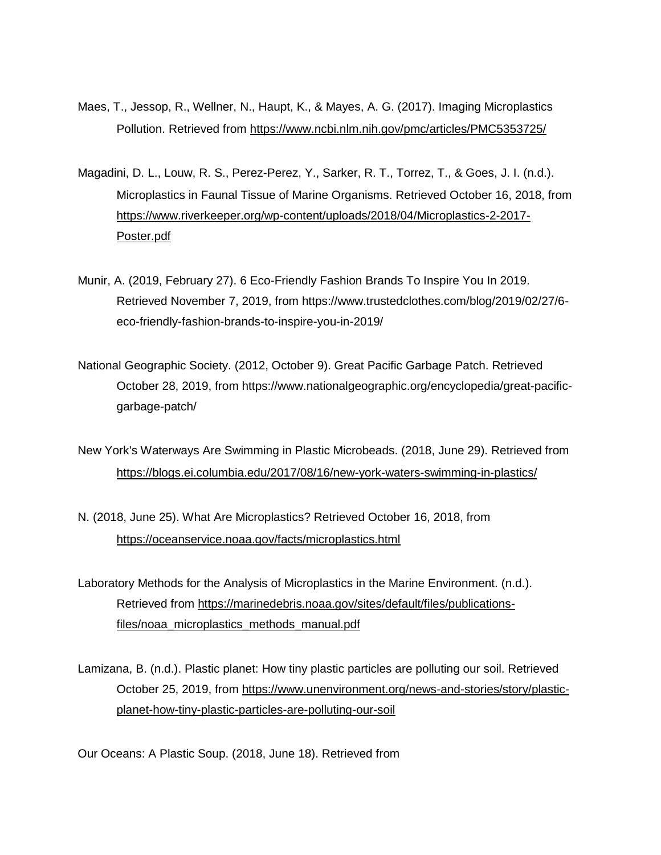- Maes, T., Jessop, R., Wellner, N., Haupt, K., & Mayes, A. G. (2017). Imaging Microplastics Pollution. Retrieved from<https://www.ncbi.nlm.nih.gov/pmc/articles/PMC5353725/>
- Magadini, D. L., Louw, R. S., Perez-Perez, Y., Sarker, R. T., Torrez, T., & Goes, J. I. (n.d.). Microplastics in Faunal Tissue of Marine Organisms. Retrieved October 16, 2018, from [https://www.riverkeeper.org/wp-content/uploads/2018/04/Microplastics-2-2017-](https://www.riverkeeper.org/wp-content/uploads/2018/04/Microplastics-2-2017-Poster.pdf) [Poster.pdf](https://www.riverkeeper.org/wp-content/uploads/2018/04/Microplastics-2-2017-Poster.pdf)
- Munir, A. (2019, February 27). 6 Eco-Friendly Fashion Brands To Inspire You In 2019. Retrieved November 7, 2019, from https://www.trustedclothes.com/blog/2019/02/27/6 eco-friendly-fashion-brands-to-inspire-you-in-2019/
- National Geographic Society. (2012, October 9). Great Pacific Garbage Patch. Retrieved October 28, 2019, from https://www.nationalgeographic.org/encyclopedia/great-pacificgarbage-patch/
- New York's Waterways Are Swimming in Plastic Microbeads. (2018, June 29). Retrieved from <https://blogs.ei.columbia.edu/2017/08/16/new-york-waters-swimming-in-plastics/>
- N. (2018, June 25). What Are Microplastics? Retrieved October 16, 2018, from <https://oceanservice.noaa.gov/facts/microplastics.html>
- Laboratory Methods for the Analysis of Microplastics in the Marine Environment. (n.d.). Retrieved from [https://marinedebris.noaa.gov/sites/default/files/publications](https://marinedebris.noaa.gov/sites/default/files/publications-files/noaa_microplastics_methods_manual.pdf)[files/noaa\\_microplastics\\_methods\\_manual.pdf](https://marinedebris.noaa.gov/sites/default/files/publications-files/noaa_microplastics_methods_manual.pdf)
- Lamizana, B. (n.d.). Plastic planet: How tiny plastic particles are polluting our soil. Retrieved October 25, 2019, from [https://www.unenvironment.org/news-and-stories/story/plastic](https://www.unenvironment.org/news-and-stories/story/plastic-planet-how-tiny-plastic-particles-are-polluting-our-soil)[planet-how-tiny-plastic-particles-are-polluting-our-soil](https://www.unenvironment.org/news-and-stories/story/plastic-planet-how-tiny-plastic-particles-are-polluting-our-soil)

Our Oceans: A Plastic Soup. (2018, June 18). Retrieved from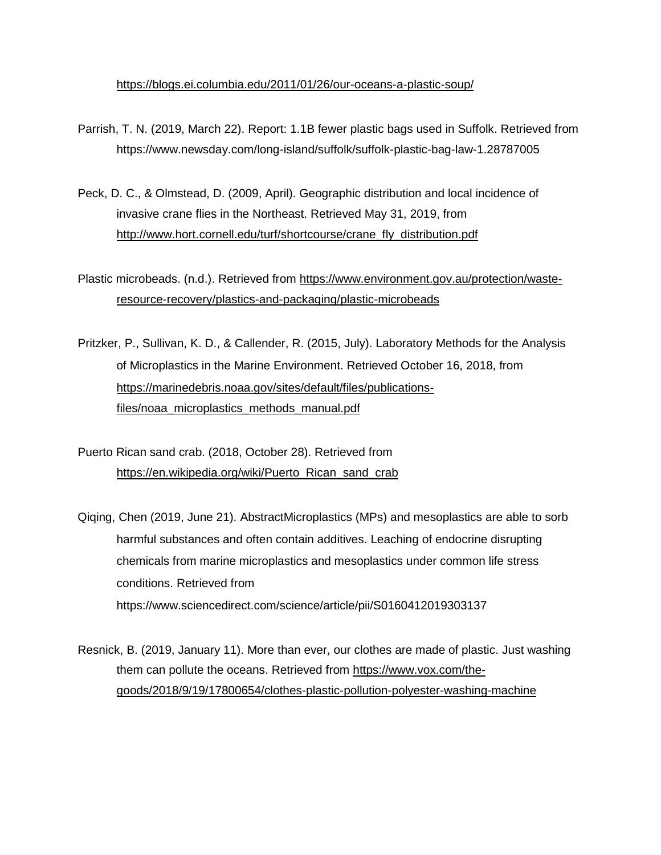<https://blogs.ei.columbia.edu/2011/01/26/our-oceans-a-plastic-soup/>

- Parrish, T. N. (2019, March 22). Report: 1.1B fewer plastic bags used in Suffolk. Retrieved from https://www.newsday.com/long-island/suffolk/suffolk-plastic-bag-law-1.28787005
- Peck, D. C., & Olmstead, D. (2009, April). Geographic distribution and local incidence of invasive crane flies in the Northeast. Retrieved May 31, 2019, from [http://www.hort.cornell.edu/turf/shortcourse/crane\\_fly\\_distribution.pdf](http://www.hort.cornell.edu/turf/shortcourse/crane_fly_distribution.pdf)

Plastic microbeads. (n.d.). Retrieved from [https://www.environment.gov.au/protection/waste](https://www.environment.gov.au/protection/waste-resource-recovery/plastics-and-packaging/plastic-microbeads)[resource-recovery/plastics-and-packaging/plastic-microbeads](https://www.environment.gov.au/protection/waste-resource-recovery/plastics-and-packaging/plastic-microbeads)

- Pritzker, P., Sullivan, K. D., & Callender, R. (2015, July). Laboratory Methods for the Analysis of Microplastics in the Marine Environment. Retrieved October 16, 2018, from [https://marinedebris.noaa.gov/sites/default/files/publications](https://marinedebris.noaa.gov/sites/default/files/publications-files/noaa_microplastics_methods_manual.pdf)[files/noaa\\_microplastics\\_methods\\_manual.pdf](https://marinedebris.noaa.gov/sites/default/files/publications-files/noaa_microplastics_methods_manual.pdf)
- Puerto Rican sand crab. (2018, October 28). Retrieved from https://en.wikipedia.org/wiki/Puerto Rican sand crab
- Qiqing, Chen (2019, June 21). AbstractMicroplastics (MPs) and mesoplastics are able to sorb harmful substances and often contain additives. Leaching of endocrine disrupting chemicals from marine microplastics and mesoplastics under common life stress conditions. Retrieved from https://www.sciencedirect.com/science/article/pii/S0160412019303137
- Resnick, B. (2019, January 11). More than ever, our clothes are made of plastic. Just washing them can pollute the oceans. Retrieved from [https://www.vox.com/the](https://www.vox.com/the-goods/2018/9/19/17800654/clothes-plastic-pollution-polyester-washing-machine)[goods/2018/9/19/17800654/clothes-plastic-pollution-polyester-washing-machine](https://www.vox.com/the-goods/2018/9/19/17800654/clothes-plastic-pollution-polyester-washing-machine)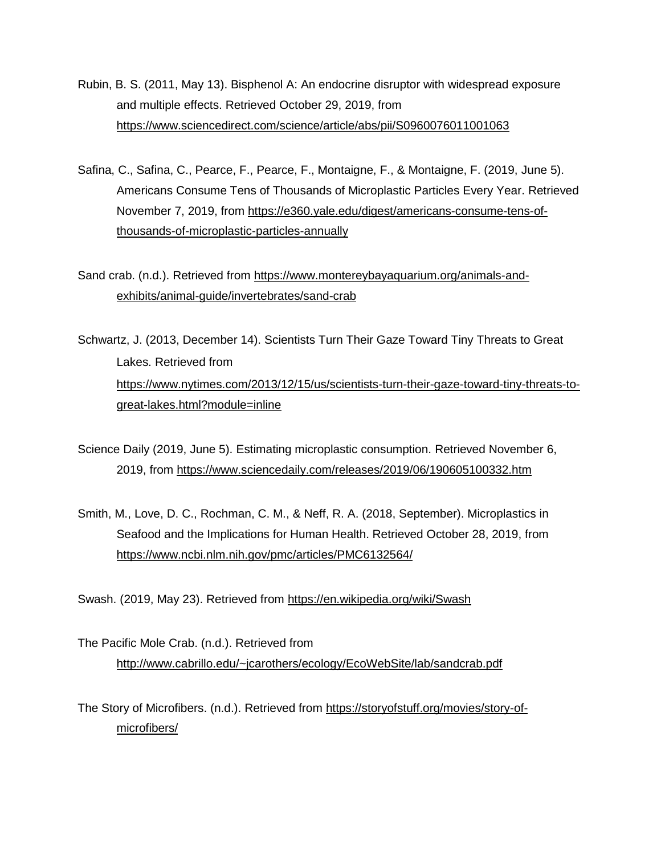- Rubin, B. S. (2011, May 13). Bisphenol A: An endocrine disruptor with widespread exposure and multiple effects. Retrieved October 29, 2019, from <https://www.sciencedirect.com/science/article/abs/pii/S0960076011001063>
- Safina, C., Safina, C., Pearce, F., Pearce, F., Montaigne, F., & Montaigne, F. (2019, June 5). Americans Consume Tens of Thousands of Microplastic Particles Every Year. Retrieved November 7, 2019, from [https://e360.yale.edu/digest/americans-consume-tens-of](https://e360.yale.edu/digest/americans-consume-tens-of-thousands-of-microplastic-particles-annually)[thousands-of-microplastic-particles-annually](https://e360.yale.edu/digest/americans-consume-tens-of-thousands-of-microplastic-particles-annually)
- Sand crab. (n.d.). Retrieved from [https://www.montereybayaquarium.org/animals-and](https://www.montereybayaquarium.org/animals-and-exhibits/animal-guide/invertebrates/sand-crab)[exhibits/animal-guide/invertebrates/sand-crab](https://www.montereybayaquarium.org/animals-and-exhibits/animal-guide/invertebrates/sand-crab)
- Schwartz, J. (2013, December 14). Scientists Turn Their Gaze Toward Tiny Threats to Great Lakes. Retrieved from [https://www.nytimes.com/2013/12/15/us/scientists-turn-their-gaze-toward-tiny-threats-to](https://www.nytimes.com/2013/12/15/us/scientists-turn-their-gaze-toward-tiny-threats-to-great-lakes.html?module=inline)[great-lakes.html?module=inline](https://www.nytimes.com/2013/12/15/us/scientists-turn-their-gaze-toward-tiny-threats-to-great-lakes.html?module=inline)
- Science Daily (2019, June 5). Estimating microplastic consumption. Retrieved November 6, 2019, from<https://www.sciencedaily.com/releases/2019/06/190605100332.htm>
- Smith, M., Love, D. C., Rochman, C. M., & Neff, R. A. (2018, September). Microplastics in Seafood and the Implications for Human Health. Retrieved October 28, 2019, from <https://www.ncbi.nlm.nih.gov/pmc/articles/PMC6132564/>

Swash. (2019, May 23). Retrieved from<https://en.wikipedia.org/wiki/Swash>

The Pacific Mole Crab. (n.d.). Retrieved from <http://www.cabrillo.edu/~jcarothers/ecology/EcoWebSite/lab/sandcrab.pdf>

The Story of Microfibers. (n.d.). Retrieved from [https://storyofstuff.org/movies/story-of](https://storyofstuff.org/movies/story-of-microfibers/)[microfibers/](https://storyofstuff.org/movies/story-of-microfibers/)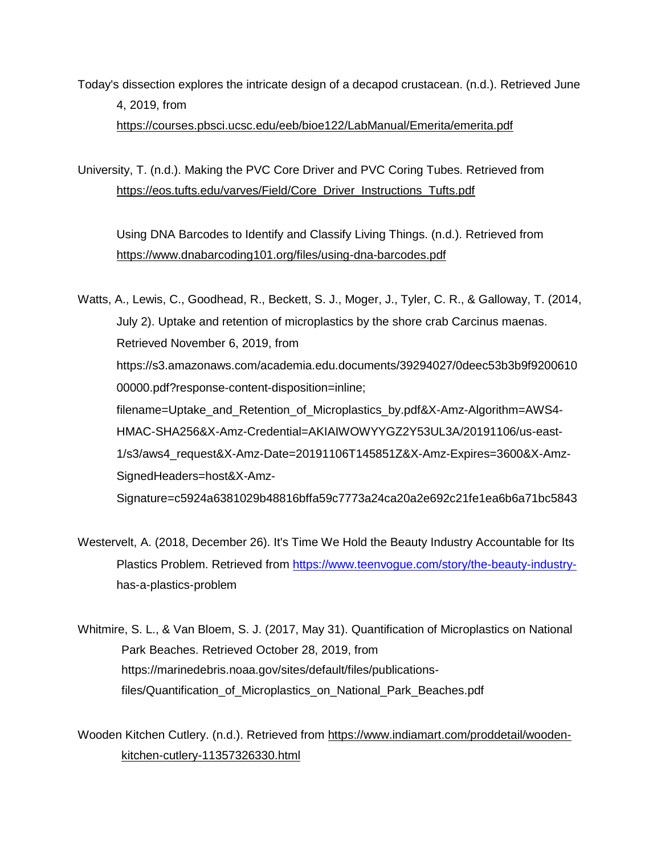Today's dissection explores the intricate design of a decapod crustacean. (n.d.). Retrieved June 4, 2019, from

<https://courses.pbsci.ucsc.edu/eeb/bioe122/LabManual/Emerita/emerita.pdf>

University, T. (n.d.). Making the PVC Core Driver and PVC Coring Tubes. Retrieved from [https://eos.tufts.edu/varves/Field/Core\\_Driver\\_Instructions\\_Tufts.pdf](https://eos.tufts.edu/varves/Field/Core_Driver_Instructions_Tufts.pdf)

Using DNA Barcodes to Identify and Classify Living Things. (n.d.). Retrieved from <https://www.dnabarcoding101.org/files/using-dna-barcodes.pdf>

Watts, A., Lewis, C., Goodhead, R., Beckett, S. J., Moger, J., Tyler, C. R., & Galloway, T. (2014, July 2). Uptake and retention of microplastics by the shore crab Carcinus maenas. Retrieved November 6, 2019, from <https://s3.amazonaws.com/academia.edu.documents/39294027/0deec53b3b9f9200610> 00000.pdf?response-content-disposition=inline; filename=Uptake\_and\_Retention\_of\_Microplastics\_by.pdf&X-Amz-Algorithm=AWS4- HMAC-SHA256&X-Amz-Credential=AKIAIWOWYYGZ2Y53UL3A/20191106/us-east-1/s3/aws4\_request&X-Amz-Date=20191106T145851Z&X-Amz-Expires=3600&X-Amz-SignedHeaders=host&X-Amz-Signature=c5924a6381029b48816bffa59c7773a24ca20a2e692c21fe1ea6b6a71bc5843

- Westervelt, A. (2018, December 26). It's Time We Hold the Beauty Industry Accountable for Its Plastics Problem. Retrieved from [https://www.teenvogue.com/story/the-beauty-industry](https://www.teenvogue.com/story/the-beauty-industry-)has-a-plastics-problem
- Whitmire, S. L., & Van Bloem, S. J. (2017, May 31). Quantification of Microplastics on National Park Beaches. Retrieved October 28, 2019, from https://marinedebris.noaa.gov/sites/default/files/publicationsfiles/Quantification\_of\_Microplastics\_on\_National\_Park\_Beaches.pdf

Wooden Kitchen Cutlery. (n.d.). Retrieved from [https://www.indiamart.com/proddetail/wooden](https://www.indiamart.com/proddetail/wooden-kitchen-cutlery-11357326330.html)[kitchen-cutlery-11357326330.html](https://www.indiamart.com/proddetail/wooden-kitchen-cutlery-11357326330.html)